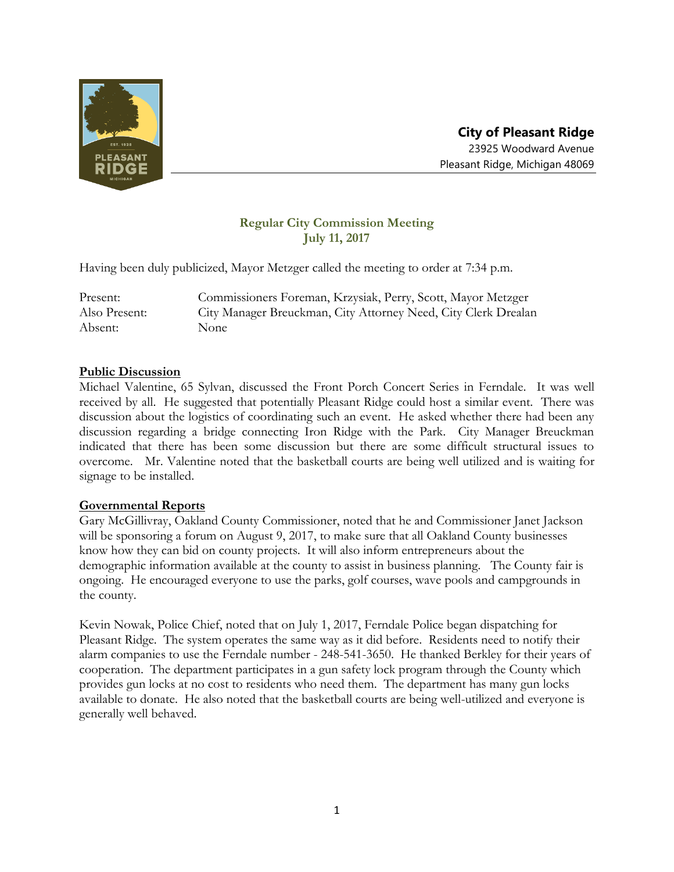

# **Regular City Commission Meeting July 11, 2017**

Having been duly publicized, Mayor Metzger called the meeting to order at 7:34 p.m.

Present: Commissioners Foreman, Krzysiak, Perry, Scott, Mayor Metzger Also Present: City Manager Breuckman, City Attorney Need, City Clerk Drealan Absent: None

### **Public Discussion**

Michael Valentine, 65 Sylvan, discussed the Front Porch Concert Series in Ferndale. It was well received by all. He suggested that potentially Pleasant Ridge could host a similar event. There was discussion about the logistics of coordinating such an event. He asked whether there had been any discussion regarding a bridge connecting Iron Ridge with the Park. City Manager Breuckman indicated that there has been some discussion but there are some difficult structural issues to overcome. Mr. Valentine noted that the basketball courts are being well utilized and is waiting for signage to be installed.

### **Governmental Reports**

Gary McGillivray, Oakland County Commissioner, noted that he and Commissioner Janet Jackson will be sponsoring a forum on August 9, 2017, to make sure that all Oakland County businesses know how they can bid on county projects. It will also inform entrepreneurs about the demographic information available at the county to assist in business planning. The County fair is ongoing. He encouraged everyone to use the parks, golf courses, wave pools and campgrounds in the county.

Kevin Nowak, Police Chief, noted that on July 1, 2017, Ferndale Police began dispatching for Pleasant Ridge. The system operates the same way as it did before. Residents need to notify their alarm companies to use the Ferndale number - 248-541-3650. He thanked Berkley for their years of cooperation. The department participates in a gun safety lock program through the County which provides gun locks at no cost to residents who need them. The department has many gun locks available to donate. He also noted that the basketball courts are being well-utilized and everyone is generally well behaved.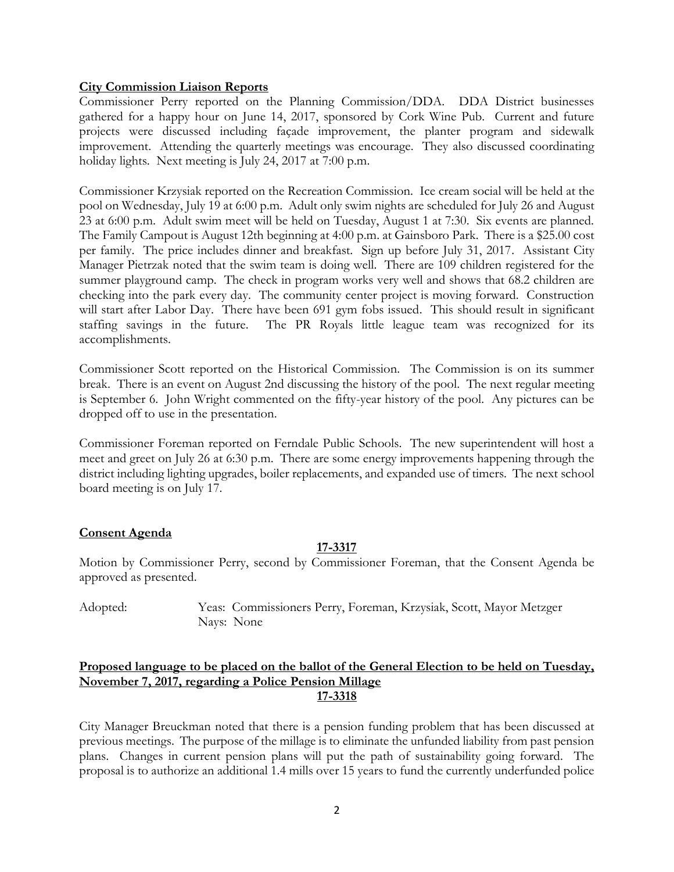### **City Commission Liaison Reports**

Commissioner Perry reported on the Planning Commission/DDA. DDA District businesses gathered for a happy hour on June 14, 2017, sponsored by Cork Wine Pub. Current and future projects were discussed including façade improvement, the planter program and sidewalk improvement. Attending the quarterly meetings was encourage. They also discussed coordinating holiday lights. Next meeting is July 24, 2017 at 7:00 p.m.

Commissioner Krzysiak reported on the Recreation Commission. Ice cream social will be held at the pool on Wednesday, July 19 at 6:00 p.m. Adult only swim nights are scheduled for July 26 and August 23 at 6:00 p.m. Adult swim meet will be held on Tuesday, August 1 at 7:30. Six events are planned. The Family Campout is August 12th beginning at 4:00 p.m. at Gainsboro Park. There is a \$25.00 cost per family. The price includes dinner and breakfast. Sign up before July 31, 2017. Assistant City Manager Pietrzak noted that the swim team is doing well. There are 109 children registered for the summer playground camp. The check in program works very well and shows that 68.2 children are checking into the park every day. The community center project is moving forward. Construction will start after Labor Day. There have been 691 gym fobs issued. This should result in significant staffing savings in the future. The PR Royals little league team was recognized for its accomplishments.

Commissioner Scott reported on the Historical Commission. The Commission is on its summer break. There is an event on August 2nd discussing the history of the pool. The next regular meeting is September 6. John Wright commented on the fifty-year history of the pool. Any pictures can be dropped off to use in the presentation.

Commissioner Foreman reported on Ferndale Public Schools. The new superintendent will host a meet and greet on July 26 at 6:30 p.m. There are some energy improvements happening through the district including lighting upgrades, boiler replacements, and expanded use of timers. The next school board meeting is on July 17.

### **Consent Agenda**

# **17-3317**

Motion by Commissioner Perry, second by Commissioner Foreman, that the Consent Agenda be approved as presented.

Adopted: Yeas: Commissioners Perry, Foreman, Krzysiak, Scott, Mayor Metzger Nays: None

### **Proposed language to be placed on the ballot of the General Election to be held on Tuesday, November 7, 2017, regarding a Police Pension Millage 17-3318**

City Manager Breuckman noted that there is a pension funding problem that has been discussed at previous meetings. The purpose of the millage is to eliminate the unfunded liability from past pension plans. Changes in current pension plans will put the path of sustainability going forward. The proposal is to authorize an additional 1.4 mills over 15 years to fund the currently underfunded police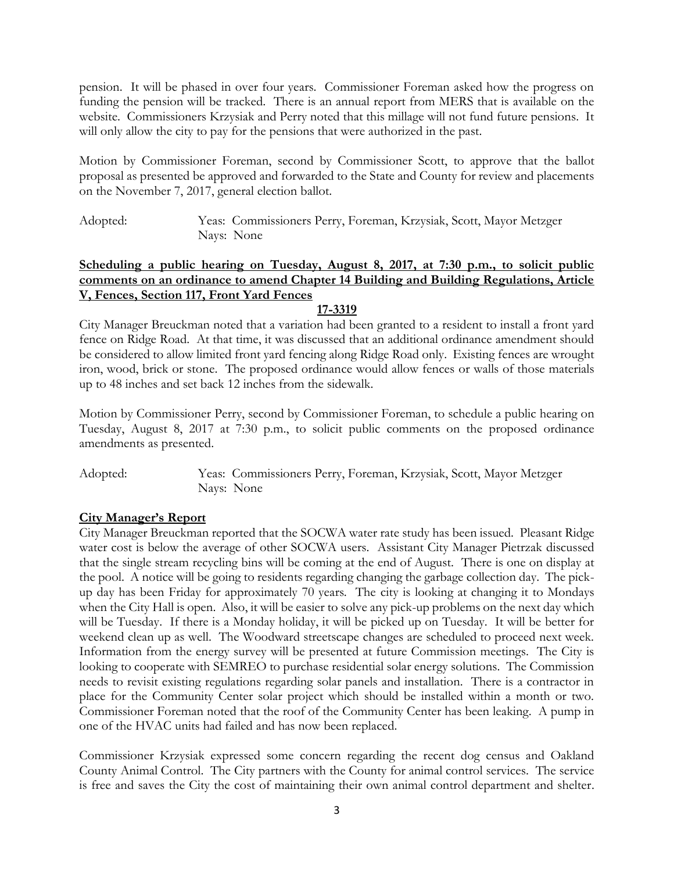pension. It will be phased in over four years. Commissioner Foreman asked how the progress on funding the pension will be tracked. There is an annual report from MERS that is available on the website. Commissioners Krzysiak and Perry noted that this millage will not fund future pensions. It will only allow the city to pay for the pensions that were authorized in the past.

Motion by Commissioner Foreman, second by Commissioner Scott, to approve that the ballot proposal as presented be approved and forwarded to the State and County for review and placements on the November 7, 2017, general election ballot.

Adopted: Yeas: Commissioners Perry, Foreman, Krzysiak, Scott, Mayor Metzger Nays: None

# **Scheduling a public hearing on Tuesday, August 8, 2017, at 7:30 p.m., to solicit public comments on an ordinance to amend Chapter 14 Building and Building Regulations, Article V, Fences, Section 117, Front Yard Fences**

# **17-3319**

City Manager Breuckman noted that a variation had been granted to a resident to install a front yard fence on Ridge Road. At that time, it was discussed that an additional ordinance amendment should be considered to allow limited front yard fencing along Ridge Road only. Existing fences are wrought iron, wood, brick or stone. The proposed ordinance would allow fences or walls of those materials up to 48 inches and set back 12 inches from the sidewalk.

Motion by Commissioner Perry, second by Commissioner Foreman, to schedule a public hearing on Tuesday, August 8, 2017 at 7:30 p.m., to solicit public comments on the proposed ordinance amendments as presented.

Adopted: Yeas: Commissioners Perry, Foreman, Krzysiak, Scott, Mayor Metzger Nays: None

# **City Manager's Report**

City Manager Breuckman reported that the SOCWA water rate study has been issued. Pleasant Ridge water cost is below the average of other SOCWA users. Assistant City Manager Pietrzak discussed that the single stream recycling bins will be coming at the end of August. There is one on display at the pool. A notice will be going to residents regarding changing the garbage collection day. The pickup day has been Friday for approximately 70 years. The city is looking at changing it to Mondays when the City Hall is open. Also, it will be easier to solve any pick-up problems on the next day which will be Tuesday. If there is a Monday holiday, it will be picked up on Tuesday. It will be better for weekend clean up as well. The Woodward streetscape changes are scheduled to proceed next week. Information from the energy survey will be presented at future Commission meetings. The City is looking to cooperate with SEMREO to purchase residential solar energy solutions. The Commission needs to revisit existing regulations regarding solar panels and installation. There is a contractor in place for the Community Center solar project which should be installed within a month or two. Commissioner Foreman noted that the roof of the Community Center has been leaking. A pump in one of the HVAC units had failed and has now been replaced.

Commissioner Krzysiak expressed some concern regarding the recent dog census and Oakland County Animal Control. The City partners with the County for animal control services. The service is free and saves the City the cost of maintaining their own animal control department and shelter.